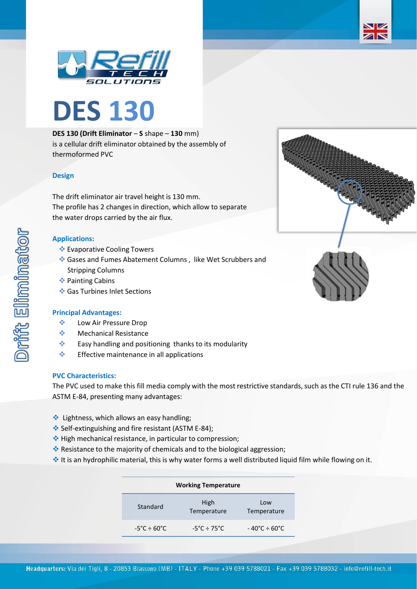



# **DES 130 (Drift Eliminator** – **S** shape – **130** mm) is a cellular drift eliminator obtained by the assembly of thermoformed PVC

## **Design**

The drift eliminator air travel height is 130 mm. The profile has 2 changes in direction, which allow to separate the water drops carried by the air flux.

### **Applications:**

- ❖ Evaporative Cooling Towers
- ❖ Gases and Fumes Abatement Columns , like Wet Scrubbers and Stripping Columns
- ❖ Painting Cabins
- ❖ Gas Turbines Inlet Sections

#### **Principal Advantages:**

- ❖ Low Air Pressure Drop
- ❖ Mechanical Resistance
- ❖ Easy handling and positioning thanks to its modularity
- ❖ Effective maintenance in all applications

#### **PVC Characteristics:**

The PVC used to make this fill media comply with the most restrictive standards, such as the CTI rule 136 and the ASTM E-84, presenting many advantages:

- ❖ Lightness, which allows an easy handling;
- ❖ Self-extinguishing and fire resistant (ASTM E-84);
- ❖ High mechanical resistance, in particular to compression;
- ❖ Resistance to the majority of chemicals and to the biological aggression;
- ❖ It is an hydrophilic material, this is why water forms a well distributed liquid film while flowing on it.

| <b>Working Temperature</b>       |                                  |                                   |  |  |
|----------------------------------|----------------------------------|-----------------------------------|--|--|
| Standard                         | High<br>Temperature              | Low<br>Temperature                |  |  |
| $-5^{\circ}$ C ÷ 60 $^{\circ}$ C | $-5^{\circ}$ C ÷ 75 $^{\circ}$ C | $-40^{\circ}$ C ÷ 60 $^{\circ}$ C |  |  |



ZN



Drift Eliminator